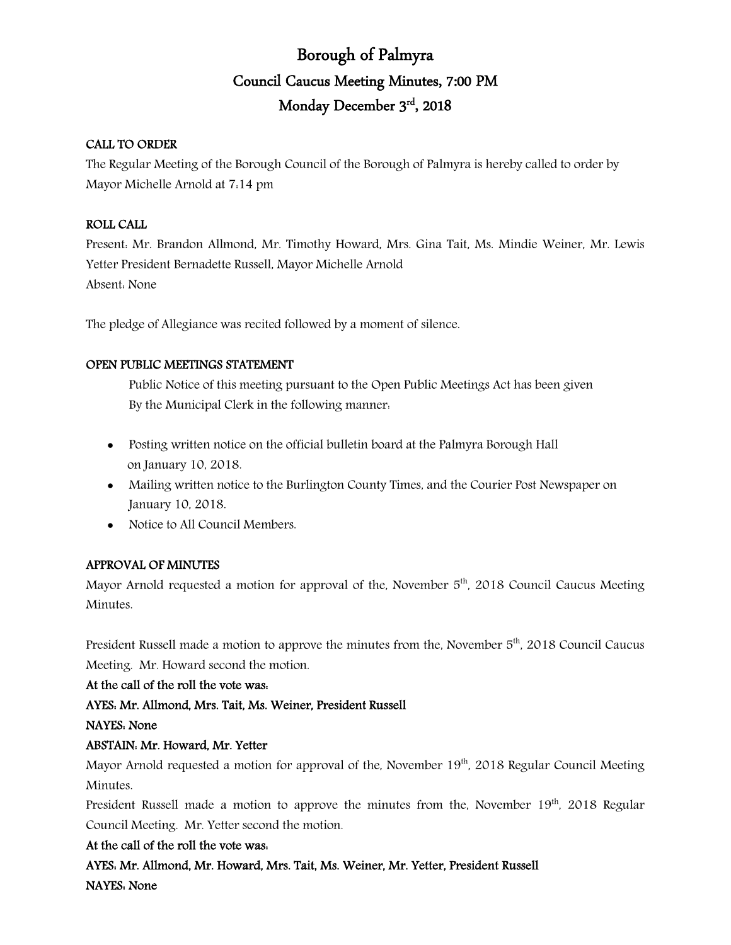# Borough of Palmyra Council Caucus Meeting Minutes, 7:00 PM Monday December 3rd, 2018

## CALL TO ORDER

The Regular Meeting of the Borough Council of the Borough of Palmyra is hereby called to order by Mayor Michelle Arnold at 7:14 pm

## ROLL CALL

Present: Mr. Brandon Allmond, Mr. Timothy Howard, Mrs. Gina Tait, Ms. Mindie Weiner, Mr. Lewis Yetter President Bernadette Russell, Mayor Michelle Arnold Absent: None

The pledge of Allegiance was recited followed by a moment of silence.

## OPEN PUBLIC MEETINGS STATEMENT

Public Notice of this meeting pursuant to the Open Public Meetings Act has been given By the Municipal Clerk in the following manner:

- Posting written notice on the official bulletin board at the Palmyra Borough Hall on January 10, 2018.
- Mailing written notice to the Burlington County Times, and the Courier Post Newspaper on January 10, 2018.
- Notice to All Council Members.

## APPROVAL OF MINUTES

Mayor Arnold requested a motion for approval of the, November 5<sup>th</sup>, 2018 Council Caucus Meeting Minutes.

President Russell made a motion to approve the minutes from the, November  $5<sup>th</sup>$ , 2018 Council Caucus Meeting. Mr. Howard second the motion.

## At the call of the roll the vote was:

## AYES: Mr. Allmond, Mrs. Tait, Ms. Weiner, President Russell

## NAYES: None

## ABSTAIN: Mr. Howard, Mr. Yetter

Mayor Arnold requested a motion for approval of the, November  $19<sup>th</sup>$ , 2018 Regular Council Meeting Minutes.

President Russell made a motion to approve the minutes from the, November  $19<sup>th</sup>$ , 2018 Regular Council Meeting. Mr. Yetter second the motion.

## At the call of the roll the vote was:

AYES: Mr. Allmond, Mr. Howard, Mrs. Tait, Ms. Weiner, Mr. Yetter, President Russell NAYES: None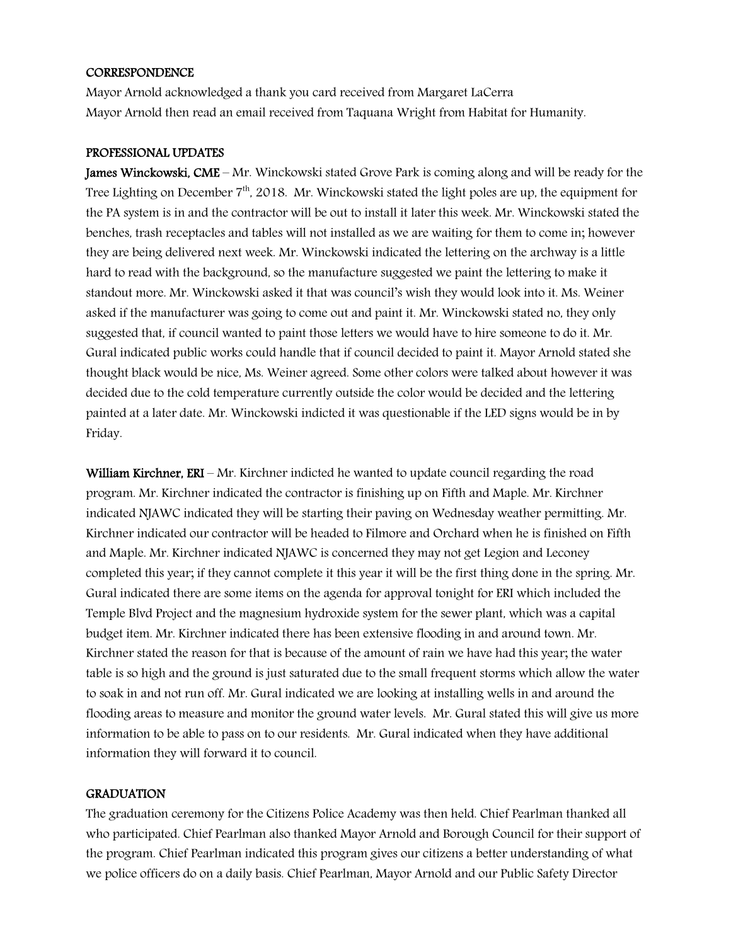#### CORRESPONDENCE

Mayor Arnold acknowledged a thank you card received from Margaret LaCerra Mayor Arnold then read an email received from Taquana Wright from Habitat for Humanity.

#### PROFESSIONAL UPDATES

James Winckowski, CME – Mr. Winckowski stated Grove Park is coming along and will be ready for the Tree Lighting on December  $7<sup>th</sup>$ , 2018. Mr. Winckowski stated the light poles are up, the equipment for the PA system is in and the contractor will be out to install it later this week. Mr. Winckowski stated the benches, trash receptacles and tables will not installed as we are waiting for them to come in; however they are being delivered next week. Mr. Winckowski indicated the lettering on the archway is a little hard to read with the background, so the manufacture suggested we paint the lettering to make it standout more. Mr. Winckowski asked it that was council's wish they would look into it. Ms. Weiner asked if the manufacturer was going to come out and paint it. Mr. Winckowski stated no, they only suggested that, if council wanted to paint those letters we would have to hire someone to do it. Mr. Gural indicated public works could handle that if council decided to paint it. Mayor Arnold stated she thought black would be nice, Ms. Weiner agreed. Some other colors were talked about however it was decided due to the cold temperature currently outside the color would be decided and the lettering painted at a later date. Mr. Winckowski indicted it was questionable if the LED signs would be in by Friday.

William Kirchner, ERI – Mr. Kirchner indicted he wanted to update council regarding the road program. Mr. Kirchner indicated the contractor is finishing up on Fifth and Maple. Mr. Kirchner indicated NJAWC indicated they will be starting their paving on Wednesday weather permitting. Mr. Kirchner indicated our contractor will be headed to Filmore and Orchard when he is finished on Fifth and Maple. Mr. Kirchner indicated NJAWC is concerned they may not get Legion and Leconey completed this year; if they cannot complete it this year it will be the first thing done in the spring. Mr. Gural indicated there are some items on the agenda for approval tonight for ERI which included the Temple Blvd Project and the magnesium hydroxide system for the sewer plant, which was a capital budget item. Mr. Kirchner indicated there has been extensive flooding in and around town. Mr. Kirchner stated the reason for that is because of the amount of rain we have had this year; the water table is so high and the ground is just saturated due to the small frequent storms which allow the water to soak in and not run off. Mr. Gural indicated we are looking at installing wells in and around the flooding areas to measure and monitor the ground water levels. Mr. Gural stated this will give us more information to be able to pass on to our residents. Mr. Gural indicated when they have additional information they will forward it to council.

#### **GRADUATION**

The graduation ceremony for the Citizens Police Academy was then held. Chief Pearlman thanked all who participated. Chief Pearlman also thanked Mayor Arnold and Borough Council for their support of the program. Chief Pearlman indicated this program gives our citizens a better understanding of what we police officers do on a daily basis. Chief Pearlman, Mayor Arnold and our Public Safety Director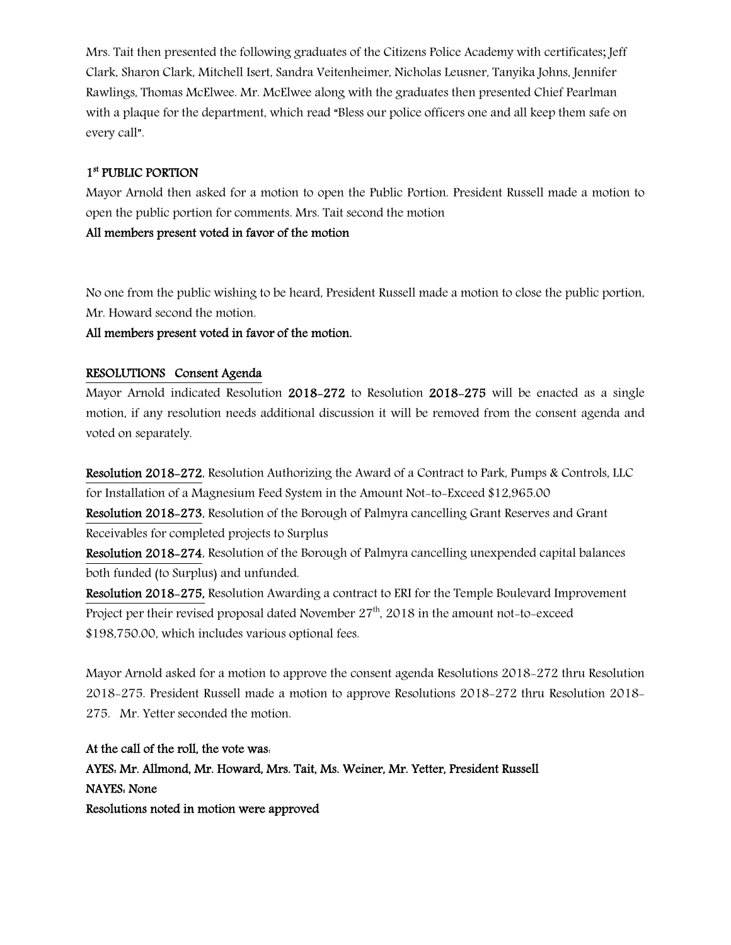Mrs. Tait then presented the following graduates of the Citizens Police Academy with certificates; Jeff Clark, Sharon Clark, Mitchell Isert, Sandra Veitenheimer, Nicholas Leusner, Tanyika Johns, Jennifer Rawlings, Thomas McElwee. Mr. McElwee along with the graduates then presented Chief Pearlman with a plaque for the department, which read "Bless our police officers one and all keep them safe on every call".

## 1st PUBLIC PORTION

Mayor Arnold then asked for a motion to open the Public Portion. President Russell made a motion to open the public portion for comments. Mrs. Tait second the motion

All members present voted in favor of the motion

No one from the public wishing to be heard, President Russell made a motion to close the public portion, Mr. Howard second the motion.

All members present voted in favor of the motion.

## RESOLUTIONS Consent Agenda

Mayor Arnold indicated Resolution 2018-272 to Resolution 2018-275 will be enacted as a single motion, if any resolution needs additional discussion it will be removed from the consent agenda and voted on separately.

Resolution 2018-272, Resolution Authorizing the Award of a Contract to Park, Pumps & Controls, LLC for Installation of a Magnesium Feed System in the Amount Not-to-Exceed \$12,965.00

Resolution 2018-273, Resolution of the Borough of Palmyra cancelling Grant Reserves and Grant Receivables for completed projects to Surplus

Resolution 2018-274, Resolution of the Borough of Palmyra cancelling unexpended capital balances both funded (to Surplus) and unfunded.

Resolution 2018-275, Resolution Awarding a contract to ERI for the Temple Boulevard Improvement Project per their revised proposal dated November  $27<sup>th</sup>$ , 2018 in the amount not-to-exceed \$198,750.00, which includes various optional fees.

Mayor Arnold asked for a motion to approve the consent agenda Resolutions 2018-272 thru Resolution 2018-275. President Russell made a motion to approve Resolutions 2018-272 thru Resolution 2018- 275. Mr. Yetter seconded the motion.

At the call of the roll, the vote was: AYES: Mr. Allmond, Mr. Howard, Mrs. Tait, Ms. Weiner, Mr. Yetter, President Russell NAYES: None Resolutions noted in motion were approved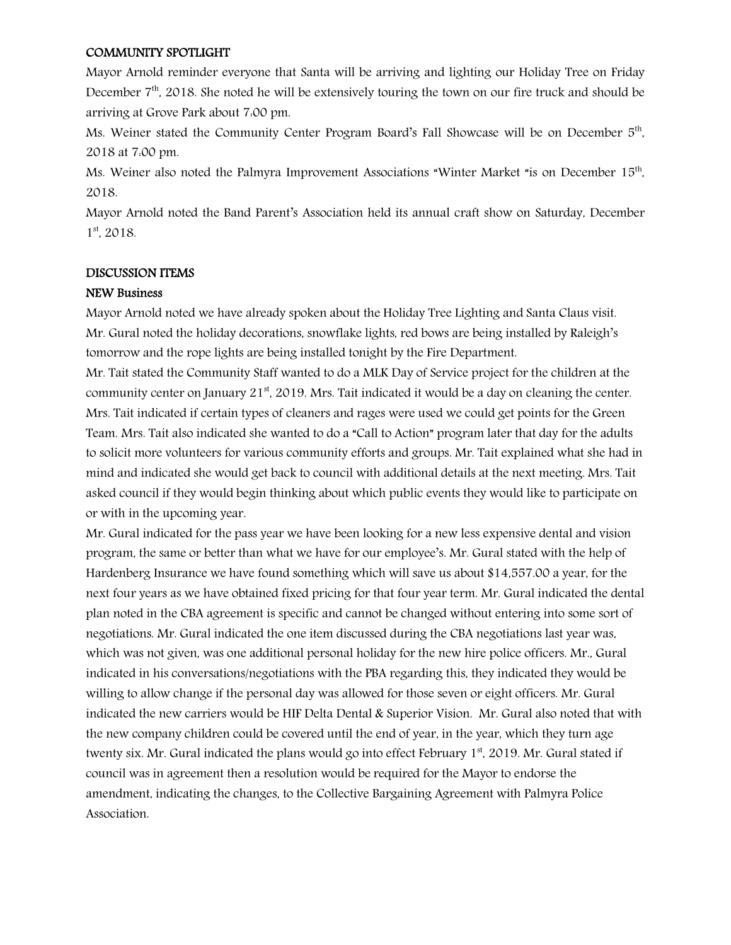#### COMMUNITY SPOTLIGHT

Mayor Arnold reminder everyone that Santa will be arriving and lighting our Holiday Tree on Friday December  $7<sup>th</sup>$ , 2018. She noted he will be extensively touring the town on our fire truck and should be arriving at Grove Park about 7:00 pm.

Ms. Weiner stated the Community Center Program Board's Fall Showcase will be on December 5<sup>th</sup>, 2018 at 7:00 pm.

Ms. Weiner also noted the Palmyra Improvement Associations "Winter Market "is on December 15th, 2018.

Mayor Arnold noted the Band Parent's Association held its annual craft show on Saturday, December 1<sup>st</sup>, 2018.

#### DISCUSSION ITEMS

#### NEW Business

Mayor Arnold noted we have already spoken about the Holiday Tree Lighting and Santa Claus visit. Mr. Gural noted the holiday decorations, snowflake lights, red bows are being installed by Raleigh's tomorrow and the rope lights are being installed tonight by the Fire Department.

Mr. Tait stated the Community Staff wanted to do a MLK Day of Service project for the children at the community center on January  $21<sup>st</sup>$ , 2019. Mrs. Tait indicated it would be a day on cleaning the center. Mrs. Tait indicated if certain types of cleaners and rages were used we could get points for the Green Team. Mrs. Tait also indicated she wanted to do a "Call to Action" program later that day for the adults to solicit more volunteers for various community efforts and groups. Mr. Tait explained what she had in mind and indicated she would get back to council with additional details at the next meeting. Mrs. Tait asked council if they would begin thinking about which public events they would like to participate on or with in the upcoming year.

Mr. Gural indicated for the pass year we have been looking for a new less expensive dental and vision program, the same or better than what we have for our employee's. Mr. Gural stated with the help of Hardenberg Insurance we have found something which will save us about \$14,557.00 a year, for the next four years as we have obtained fixed pricing for that four year term. Mr. Gural indicated the dental plan noted in the CBA agreement is specific and cannot be changed without entering into some sort of negotiations. Mr. Gural indicated the one item discussed during the CBA negotiations last year was, which was not given, was one additional personal holiday for the new hire police officers. Mr., Gural indicated in his conversations/negotiations with the PBA regarding this, they indicated they would be willing to allow change if the personal day was allowed for those seven or eight officers. Mr. Gural indicated the new carriers would be HIF Delta Dental & Superior Vision. Mr. Gural also noted that with the new company children could be covered until the end of year, in the year, which they turn age twenty six. Mr. Gural indicated the plans would go into effect February 1<sup>st</sup>, 2019. Mr. Gural stated if council was in agreement then a resolution would be required for the Mayor to endorse the amendment, indicating the changes, to the Collective Bargaining Agreement with Palmyra Police Association.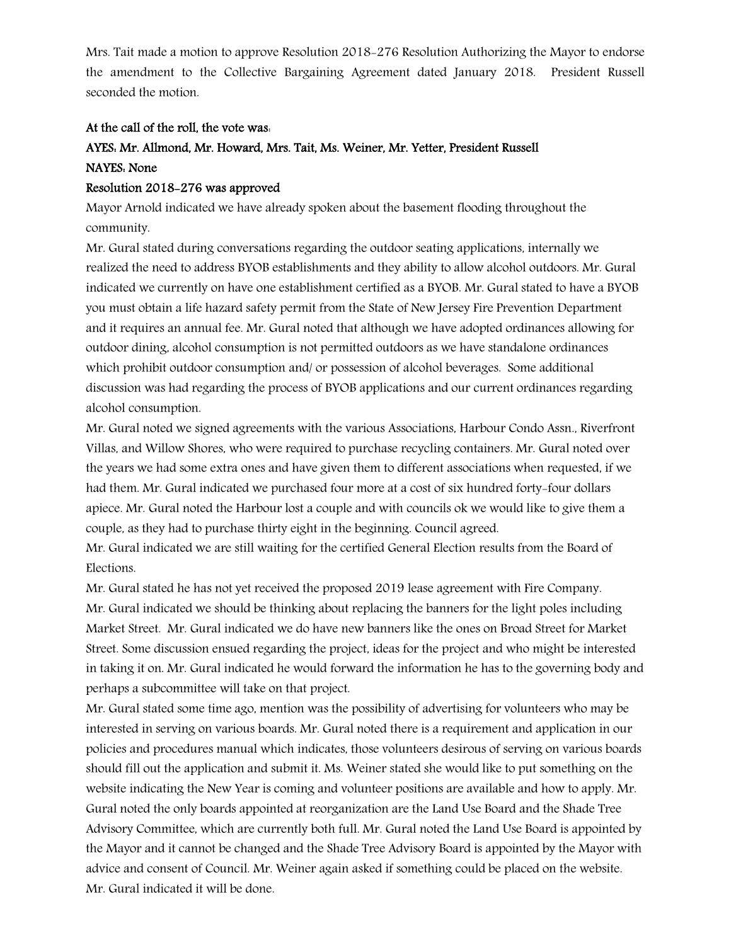Mrs. Tait made a motion to approve Resolution 2018-276 Resolution Authorizing the Mayor to endorse the amendment to the Collective Bargaining Agreement dated January 2018. President Russell seconded the motion.

#### At the call of the roll, the vote was:

## AYES: Mr. Allmond, Mr. Howard, Mrs. Tait, Ms. Weiner, Mr. Yetter, President Russell NAYES: None

### Resolution 2018-276 was approved

Mayor Arnold indicated we have already spoken about the basement flooding throughout the community.

Mr. Gural stated during conversations regarding the outdoor seating applications, internally we realized the need to address BYOB establishments and they ability to allow alcohol outdoors. Mr. Gural indicated we currently on have one establishment certified as a BYOB. Mr. Gural stated to have a BYOB you must obtain a life hazard safety permit from the State of New Jersey Fire Prevention Department and it requires an annual fee. Mr. Gural noted that although we have adopted ordinances allowing for outdoor dining, alcohol consumption is not permitted outdoors as we have standalone ordinances which prohibit outdoor consumption and/ or possession of alcohol beverages. Some additional discussion was had regarding the process of BYOB applications and our current ordinances regarding alcohol consumption.

Mr. Gural noted we signed agreements with the various Associations, Harbour Condo Assn., Riverfront Villas, and Willow Shores, who were required to purchase recycling containers. Mr. Gural noted over the years we had some extra ones and have given them to different associations when requested, if we had them. Mr. Gural indicated we purchased four more at a cost of six hundred forty-four dollars apiece. Mr. Gural noted the Harbour lost a couple and with councils ok we would like to give them a couple, as they had to purchase thirty eight in the beginning. Council agreed.

Mr. Gural indicated we are still waiting for the certified General Election results from the Board of Elections.

Mr. Gural stated he has not yet received the proposed 2019 lease agreement with Fire Company. Mr. Gural indicated we should be thinking about replacing the banners for the light poles including Market Street. Mr. Gural indicated we do have new banners like the ones on Broad Street for Market Street. Some discussion ensued regarding the project, ideas for the project and who might be interested in taking it on. Mr. Gural indicated he would forward the information he has to the governing body and perhaps a subcommittee will take on that project.

Mr. Gural stated some time ago, mention was the possibility of advertising for volunteers who may be interested in serving on various boards. Mr. Gural noted there is a requirement and application in our policies and procedures manual which indicates, those volunteers desirous of serving on various boards should fill out the application and submit it. Ms. Weiner stated she would like to put something on the website indicating the New Year is coming and volunteer positions are available and how to apply. Mr. Gural noted the only boards appointed at reorganization are the Land Use Board and the Shade Tree Advisory Committee, which are currently both full. Mr. Gural noted the Land Use Board is appointed by the Mayor and it cannot be changed and the Shade Tree Advisory Board is appointed by the Mayor with advice and consent of Council. Mr. Weiner again asked if something could be placed on the website. Mr. Gural indicated it will be done.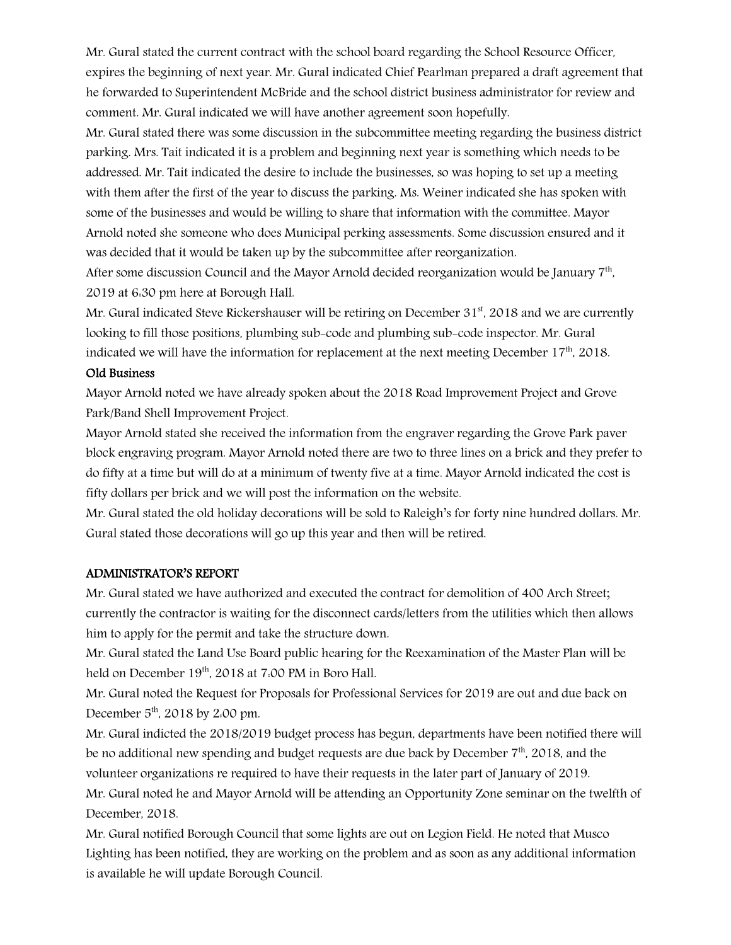Mr. Gural stated the current contract with the school board regarding the School Resource Officer, expires the beginning of next year. Mr. Gural indicated Chief Pearlman prepared a draft agreement that he forwarded to Superintendent McBride and the school district business administrator for review and comment. Mr. Gural indicated we will have another agreement soon hopefully.

Mr. Gural stated there was some discussion in the subcommittee meeting regarding the business district parking. Mrs. Tait indicated it is a problem and beginning next year is something which needs to be addressed. Mr. Tait indicated the desire to include the businesses, so was hoping to set up a meeting with them after the first of the year to discuss the parking. Ms. Weiner indicated she has spoken with some of the businesses and would be willing to share that information with the committee. Mayor Arnold noted she someone who does Municipal perking assessments. Some discussion ensured and it was decided that it would be taken up by the subcommittee after reorganization.

After some discussion Council and the Mayor Arnold decided reorganization would be January 7th, 2019 at 6:30 pm here at Borough Hall.

Mr. Gural indicated Steve Rickershauser will be retiring on December  $31<sup>st</sup>$ , 2018 and we are currently looking to fill those positions, plumbing sub-code and plumbing sub-code inspector. Mr. Gural indicated we will have the information for replacement at the next meeting December 17th, 2018.

#### Old Business

Mayor Arnold noted we have already spoken about the 2018 Road Improvement Project and Grove Park/Band Shell Improvement Project.

Mayor Arnold stated she received the information from the engraver regarding the Grove Park paver block engraving program. Mayor Arnold noted there are two to three lines on a brick and they prefer to do fifty at a time but will do at a minimum of twenty five at a time. Mayor Arnold indicated the cost is fifty dollars per brick and we will post the information on the website.

Mr. Gural stated the old holiday decorations will be sold to Raleigh's for forty nine hundred dollars. Mr. Gural stated those decorations will go up this year and then will be retired.

#### ADMINISTRATOR'S REPORT

Mr. Gural stated we have authorized and executed the contract for demolition of 400 Arch Street; currently the contractor is waiting for the disconnect cards/letters from the utilities which then allows him to apply for the permit and take the structure down.

Mr. Gural stated the Land Use Board public hearing for the Reexamination of the Master Plan will be held on December 19<sup>th</sup>, 2018 at 7:00 PM in Boro Hall.

Mr. Gural noted the Request for Proposals for Professional Services for 2019 are out and due back on December  $5<sup>th</sup>$ , 2018 by 2.00 pm.

Mr. Gural indicted the 2018/2019 budget process has begun, departments have been notified there will be no additional new spending and budget requests are due back by December 7<sup>th</sup>, 2018, and the volunteer organizations re required to have their requests in the later part of January of 2019.

Mr. Gural noted he and Mayor Arnold will be attending an Opportunity Zone seminar on the twelfth of December, 2018.

Mr. Gural notified Borough Council that some lights are out on Legion Field. He noted that Musco Lighting has been notified, they are working on the problem and as soon as any additional information is available he will update Borough Council.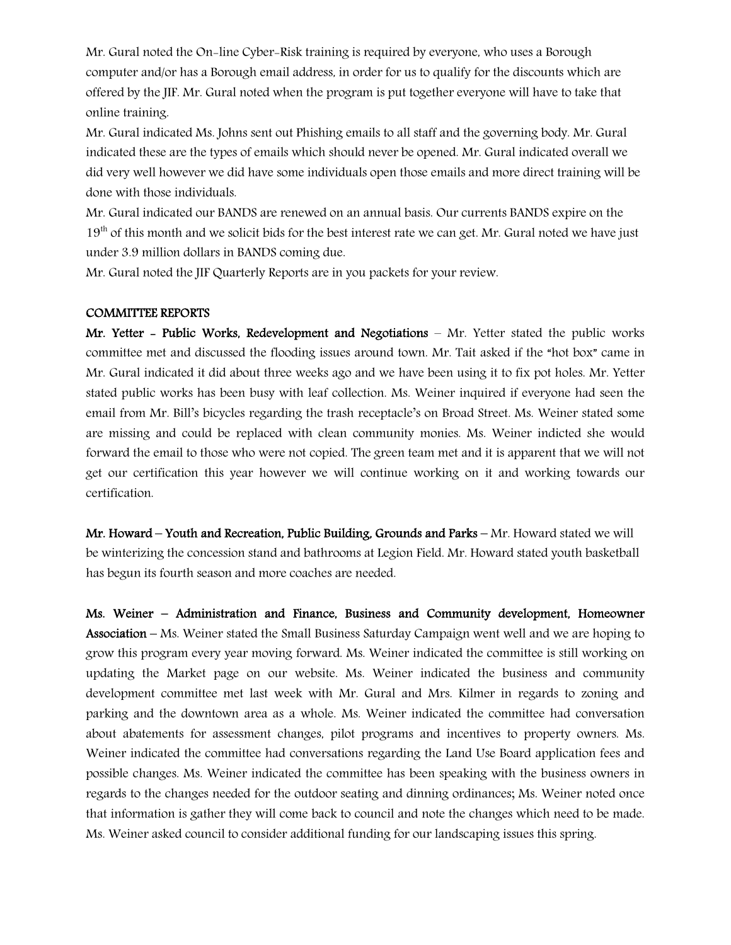Mr. Gural noted the On-line Cyber-Risk training is required by everyone, who uses a Borough computer and/or has a Borough email address, in order for us to qualify for the discounts which are offered by the JIF. Mr. Gural noted when the program is put together everyone will have to take that online training.

Mr. Gural indicated Ms. Johns sent out Phishing emails to all staff and the governing body. Mr. Gural indicated these are the types of emails which should never be opened. Mr. Gural indicated overall we did very well however we did have some individuals open those emails and more direct training will be done with those individuals.

Mr. Gural indicated our BANDS are renewed on an annual basis. Our currents BANDS expire on the 19<sup>th</sup> of this month and we solicit bids for the best interest rate we can get. Mr. Gural noted we have just under 3.9 million dollars in BANDS coming due.

Mr. Gural noted the JIF Quarterly Reports are in you packets for your review.

#### COMMITTEE REPORTS

Mr. Yetter - Public Works, Redevelopment and Negotiations – Mr. Yetter stated the public works committee met and discussed the flooding issues around town. Mr. Tait asked if the "hot box" came in Mr. Gural indicated it did about three weeks ago and we have been using it to fix pot holes. Mr. Yetter stated public works has been busy with leaf collection. Ms. Weiner inquired if everyone had seen the email from Mr. Bill's bicycles regarding the trash receptacle's on Broad Street. Ms. Weiner stated some are missing and could be replaced with clean community monies. Ms. Weiner indicted she would forward the email to those who were not copied. The green team met and it is apparent that we will not get our certification this year however we will continue working on it and working towards our certification.

Mr. Howard – Youth and Recreation, Public Building, Grounds and Parks – Mr. Howard stated we will be winterizing the concession stand and bathrooms at Legion Field. Mr. Howard stated youth basketball has begun its fourth season and more coaches are needed.

Ms. Weiner – Administration and Finance, Business and Community development, Homeowner Association – Ms. Weiner stated the Small Business Saturday Campaign went well and we are hoping to grow this program every year moving forward. Ms. Weiner indicated the committee is still working on updating the Market page on our website. Ms. Weiner indicated the business and community development committee met last week with Mr. Gural and Mrs. Kilmer in regards to zoning and parking and the downtown area as a whole. Ms. Weiner indicated the committee had conversation about abatements for assessment changes, pilot programs and incentives to property owners. Ms. Weiner indicated the committee had conversations regarding the Land Use Board application fees and possible changes. Ms. Weiner indicated the committee has been speaking with the business owners in regards to the changes needed for the outdoor seating and dinning ordinances; Ms. Weiner noted once that information is gather they will come back to council and note the changes which need to be made. Ms. Weiner asked council to consider additional funding for our landscaping issues this spring.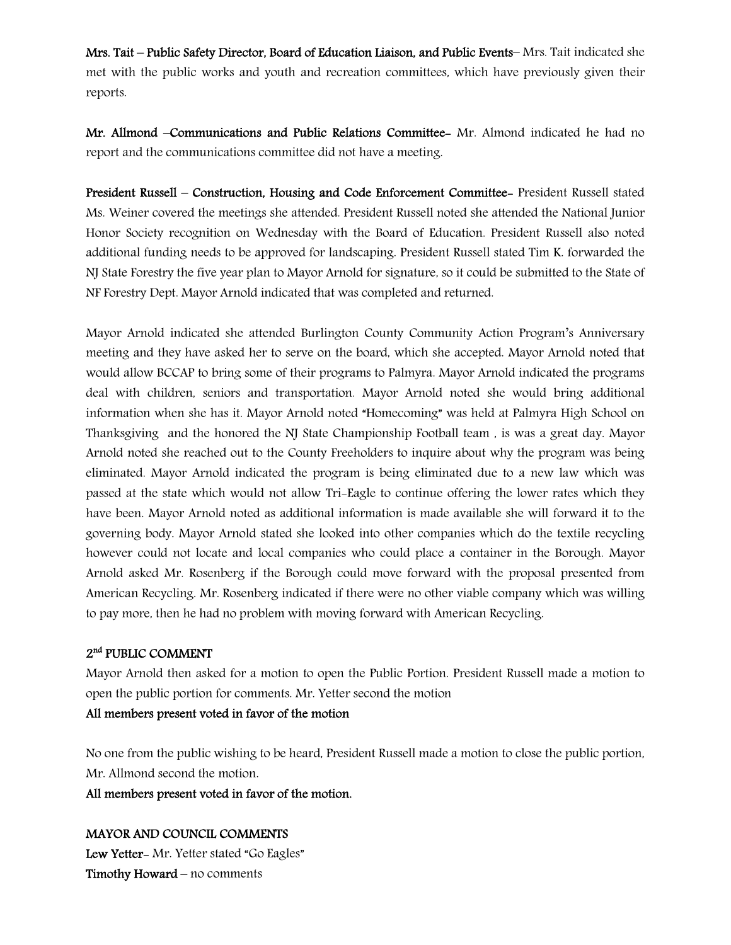Mrs. Tait – Public Safety Director, Board of Education Liaison, and Public Events– Mrs. Tait indicated she met with the public works and youth and recreation committees, which have previously given their reports.

Mr. Allmond –Communications and Public Relations Committee- Mr. Almond indicated he had no report and the communications committee did not have a meeting.

President Russell – Construction, Housing and Code Enforcement Committee- President Russell stated Ms. Weiner covered the meetings she attended. President Russell noted she attended the National Junior Honor Society recognition on Wednesday with the Board of Education. President Russell also noted additional funding needs to be approved for landscaping. President Russell stated Tim K. forwarded the NJ State Forestry the five year plan to Mayor Arnold for signature, so it could be submitted to the State of NF Forestry Dept. Mayor Arnold indicated that was completed and returned.

Mayor Arnold indicated she attended Burlington County Community Action Program's Anniversary meeting and they have asked her to serve on the board, which she accepted. Mayor Arnold noted that would allow BCCAP to bring some of their programs to Palmyra. Mayor Arnold indicated the programs deal with children, seniors and transportation. Mayor Arnold noted she would bring additional information when she has it. Mayor Arnold noted "Homecoming" was held at Palmyra High School on Thanksgiving and the honored the NJ State Championship Football team , is was a great day. Mayor Arnold noted she reached out to the County Freeholders to inquire about why the program was being eliminated. Mayor Arnold indicated the program is being eliminated due to a new law which was passed at the state which would not allow Tri-Eagle to continue offering the lower rates which they have been. Mayor Arnold noted as additional information is made available she will forward it to the governing body. Mayor Arnold stated she looked into other companies which do the textile recycling however could not locate and local companies who could place a container in the Borough. Mayor Arnold asked Mr. Rosenberg if the Borough could move forward with the proposal presented from American Recycling. Mr. Rosenberg indicated if there were no other viable company which was willing to pay more, then he had no problem with moving forward with American Recycling.

## 2<sup>nd</sup> PUBLIC COMMENT

Mayor Arnold then asked for a motion to open the Public Portion. President Russell made a motion to open the public portion for comments. Mr. Yetter second the motion

## All members present voted in favor of the motion

No one from the public wishing to be heard, President Russell made a motion to close the public portion, Mr. Allmond second the motion.

All members present voted in favor of the motion.

## MAYOR AND COUNCIL COMMENTS

Lew Yetter- Mr. Yetter stated "Go Eagles" Timothy Howard – no comments